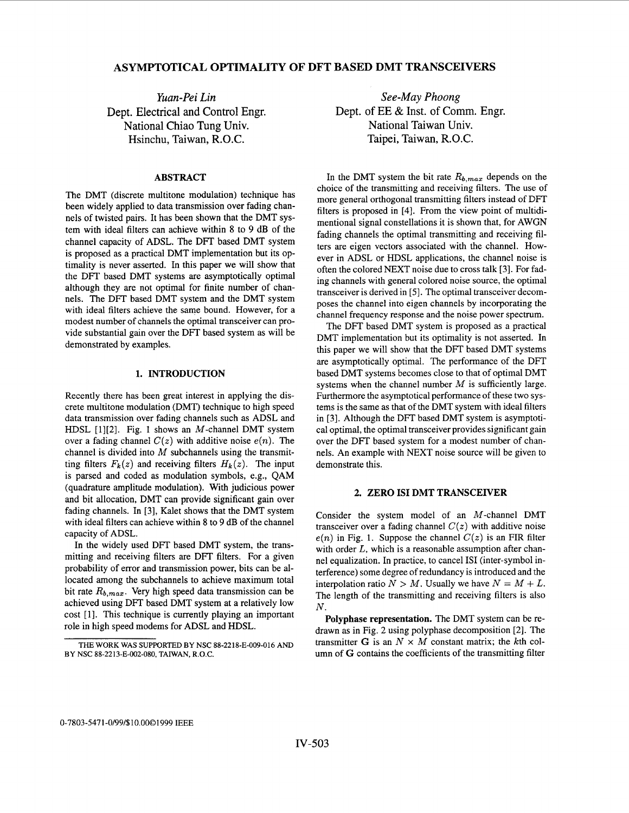# **ASYMPTOTICAL OPTIMALITY OF DFT BASED DMT TRANSCEIVERS**

*Yuan-Pei Lin*  Dept. Electrical **and** Control Engr. National Chiao Tung Univ. Hsinchu, Taiwan, R.O.C.

## **ABSTRACT**

The DMT (discrete multitone modulation) technique has been widely applied to data transmission over fading channels of twisted pairs. It has been shown that the DMT system with ideal filters can achieve within **8** to 9 dB of the channel capacity of ADSL. The DFT based DMT system is proposed as a practical DMT implementation but its optimality is never asserted. In this paper we will show that the DFT based DMT systems are asymptotically optimal although they are not optimal for finite number of channels. The DFT based DMT system and the DMT system with ideal filters achieve the same bound. However, for a modest number of channels the optimal transceiver can provide substantial gain over the DFT based system as will be demonstrated by examples.

### **1. INTRODUCTION**

Recently there has been great interest in applying the discrete multitone modulation (DMT) technique to high speed data transmission over fading channels such as ADSL and HDSL [1][2]. Fig. 1 shows an  $M$ -channel DMT system over a fading channel  $C(z)$  with additive noise  $e(n)$ . The channel is divided into *M* subchannels using the transmitting filters  $F_k(z)$  and receiving filters  $H_k(z)$ . The input is parsed and coded as modulation symbols, e.g., QAM (quadrature amplitude modulation). With judicious power and bit allocation, DMT can provide significant gain over fading channels. In **[3],** Kalet shows that the DMT system with ideal filters can achieve within 8 to 9 dB of the channel capacity of ADSL.

In the widely used DFT based DMT system, the transmitting and receiving filters are DFT filters. For a given probability of error and transmission power, bits can be allocated among the subchannels to achieve maximum total bit rate  $R_{b,max}$ . Very high speed data transmission can be achieved using DFT based DMT system at a relatively low cost [1]. This technique is currently playing an important role in high speed modems for ADSL and HDSL.

*See-May Phoong*  Dept. of EE & Inst. of Comm. Engr. National Taiwan Univ. Taipei, Taiwan, R.O.C.

In the DMT system the bit rate  $R_{b,max}$  depends on the choice of the transmitting and receiving filters. The use of more general orthogonal transmitting filters instead of DFT filters is proposed in [4]. From the view point of multidimentional signal constellations it is shown that, for AWGN fading channels the optimal transmitting and receiving filters are eigen vectors associated with the channel. However in ADSL or HDSL applications, the channel noise is often the colored NEXT noise due to cross talk **[3].** For fading channels with general colored noise source, the optimal transceiver is derived in *[5].* The optimal transceiver decomposes the channel into eigen channels by incorporating the channel frequency response and the noise power spectrum.

The DFT based DMT system is proposed as a practical DMT implementation but its optimality is not asserted. In this paper we will show that the DFT based DMT systems are asymptotically optimal. The performance of the DFT based DMT systems becomes close to that of optimal DMT systems when the channel number *M* is sufficiently large. Furthermore the asymptotical performance of these two systems is the same as that of the DMT system with ideal filters in [3]. Although the DFT based DMT system is asymptotical optimal, the optimal transceiver provides significant gain over the DFT based system for a modest number of chmnels. An example with NEXT noise source will be given to demonstrate this.

#### **2. ZERO IS1 DMT TRANSCEIVER**

Consider the system model of an M-channel DMT transceiver over a fading channel  $C(z)$  with additive noise  $e(n)$  in Fig. 1. Suppose the channel  $C(z)$  is an FIR filter with order *L*, which is a reasonable assumption after channel equalization. In practice, to cancel IS1 (inter-symbol interference) some degree of redundancy is introduced and the interpolation ratio  $N > M$ . Usually we have  $N = M + L$ . The length of the transmitting and receiving filters is also *N.* 

**Polyphase representation.** The DMT system can be redrawn as in Fig. 2 using polyphase decomposition [2]. The transmitter G is an  $N \times M$  constant matrix; the kth column of *G* contains the coefficients of the transmitting filter

**THE WORK WAS SUPPORTED BY NSC 88-2218-E-009-016 AND BY NSC 88-2213-E-002-080. TAIWAN, R.O.C.**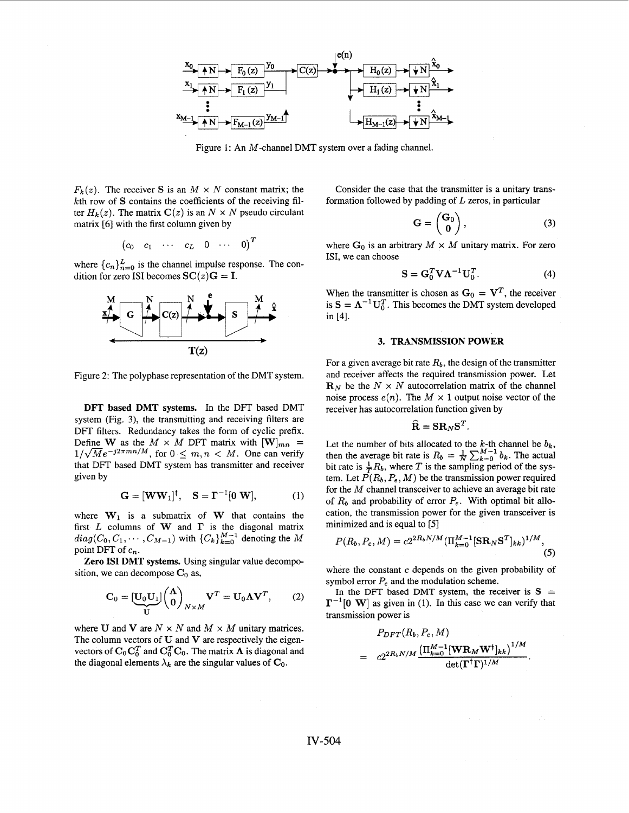

Figure **1:** An M-channel DMT system over a fading channel.

 $F_k(z)$ . The receiver *S* is an  $M \times N$  constant matrix; the kth row of *S* contains the coefficients of the receiving filter  $H_k(z)$ . The matrix  $C(z)$  is an  $N \times N$  pseudo circulant matrix [6] with the first column given by

$$
\begin{pmatrix}c_0 & c_1 & \cdots & c_L & 0 & \cdots & 0\end{pmatrix}^T
$$

where  ${c_n}_{n=0}^L$  is the channel impulse response. The condition for zero ISI becomes  $SC(z)G = I$ .



Figure *2:* The polyphase representation of the DMT system.

**DFT based DMT systems.** In the DFT based DMT system (Fig. **3),** the transmitting and receiving filters are DFT filters. Redundancy takes the form of cyclic prefix. Define W as the  $M \times M$  DFT matrix with  $[\mathbf{W}]_{mn}$  =  $1/\sqrt{M}e^{-j2\pi mn/M}$ , for  $0 \leq m, n \lt M$ . One can verify that DFT based DMT system has transmitter and receiver given by

$$
\mathbf{G} = [\mathbf{W}\mathbf{W}_1]^{\dagger}, \quad \mathbf{S} = \mathbf{\Gamma}^{-1}[\mathbf{0}\ \mathbf{W}], \tag{1}
$$

where  $W_1$  is a submatrix of W that contains the first  $L$  columns of W and  $\Gamma$  is the diagonal matrix  $diag(C_0, C_1, \cdots, C_{M-1})$  with  $\{C_k\}_{k=0}^{M-1}$  denoting the M point DFT of *cn.* 

**Zero IS1 DMT systems.** Using singular value decomposition, we can decompose  $C_0$  as,

$$
\mathbf{C}_0 = \underbrace{[\mathbf{U}_0 \mathbf{U}_1]}_{\mathbf{U}} \begin{pmatrix} \mathbf{\Lambda} \\ \mathbf{0} \end{pmatrix}_{N \times M} \mathbf{V}^T = \mathbf{U}_0 \mathbf{\Lambda} \mathbf{V}^T, \qquad (2)
$$

where U and V are  $N \times N$  and  $M \times M$  unitary matrices. The column vectors of  $U$  and  $V$  are respectively the eigenvectors of  $C_0C_0^T$  and  $C_0^TC_0$ . The matrix  $\Lambda$  is diagonal and the diagonal elements  $\lambda_k$  are the singular values of  $\mathbf{C}_0$ .

Consider the case that the transmitter is a unitary transformation followed by padding of *L* zeros, in particular

$$
\mathbf{G} = \begin{pmatrix} \mathbf{G}_0 \\ \mathbf{0} \end{pmatrix}, \tag{3}
$$

where  $G_0$  is an arbitrary  $M \times M$  unitary matrix. For zero ISI, we can choose

$$
\mathbf{S} = \mathbf{G}_0^T \mathbf{V} \mathbf{\Lambda}^{-1} \mathbf{U}_0^T.
$$
 (4)

When the transmitter is chosen as  $G_0 = V^T$ , the receiver is  $S = \Lambda^{-1} U_0^T$ . This becomes the DMT system developed in [4].

#### **3. TRANSMISSION POWER**

For a given average bit rate  $R_b$ , the design of the transmitter and receiver affects the required transmission power. Let  $R_N$  be the  $N \times N$  autocorrelation matrix of the channel noise process  $e(n)$ . The  $M \times 1$  output noise vector of the receiver has autocorrelation function given by

$$
\widehat{\mathbf{R}} = \mathbf{S} \mathbf{R}_N \mathbf{S}^T.
$$

Let the number of bits allocated to the  $k$ -th channel be  $b_k$ , then the average bit rate is  $R_b = \frac{1}{N} \sum_{k=0}^{M-1} b_k$ . The actual bit rate is  $\frac{1}{T}R_b$ , where T is the sampling period of the system. Let  $\tilde{P}(R_b, P_e, M)$  be the transmission power required for the M channel transceiver to achieve an average bit rate of  $R_b$  and probability of error  $P_e$ . With optimal bit allocation, the transmission power for the given transceiver **is**  minimized and is equal to [5]

$$
P(R_b, P_e, M) = c2^{2R_b N/M} (\Pi_{k=0}^{M-1} [\mathbf{SR}_N \mathbf{S}^T]_{kk})^{1/M},
$$
\n(5)

where the constant  $c$  depends on the given probability of symbol error  $P_e$  and the modulation scheme.

In the DFT based DMT system, the receiver is  $S =$  $\Gamma^{-1}[0 \text{ W}]$  as given in (1). In this case we can verify that transmission power is

$$
P_{DFT}(R_b, P_e, M)
$$
  
= 
$$
c2^{2R_bN/M} \frac{\left(\Pi_{k=0}^{M-1} [\mathbf{W} \mathbf{R}_M \mathbf{W}^\dagger]_{kk}\right)^{1/M}}{\det(\Gamma^\dagger \Gamma)^{1/M}}.
$$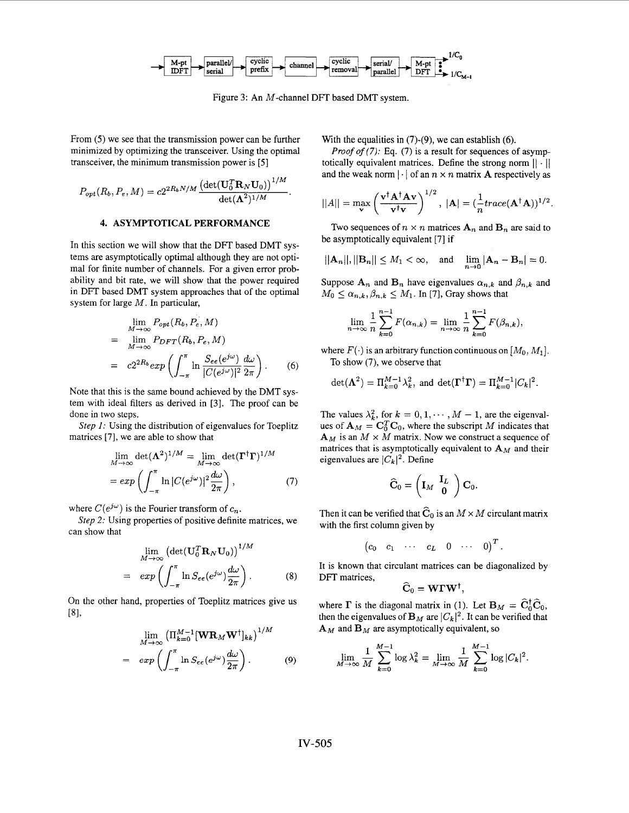

Figure **3:** An M-channel DFT based DMT system.

From (5) we see that the transmission power can be further minimized by optimizing the transceiver. Using the optimal transceiver, the minimum transmission power is *[5]* 

$$
P_{opt}(R_b, P_e, M) = c2^{2R_bN/M} \frac{\left(\det(\mathbf{U}_0^T \mathbf{R}_N \mathbf{U}_0)\right)^{1/M}}{\det(\mathbf{\Lambda}^2)^{1/M}}
$$

## **4. ASYMPTOTICAL PERFORMANCE**

In this section we will show that the DFT based DMT systems are asymptotically optimal although they are not optimal for finite number of channels. For a given error probability and bit rate, we will show that the power required in DFT based DMT system approaches that of the optimal system for large *M.* In particular,

$$
\lim_{M \to \infty} P_{opt}(R_b, P_e, M)
$$
\n
$$
= \lim_{M \to \infty} P_{DFT}(R_b, P_e, M)
$$
\n
$$
= c2^{2R_b} exp\left(\int_{-\pi}^{\pi} \ln \frac{S_{ee}(e^{j\omega})}{|C(e^{j\omega})|^2} \frac{d\omega}{2\pi}\right).
$$
\n(6)

Note that this is the same bound achieved by the DMT system with ideal filters as derived in **[3].** The proof can be done in two steps.

*Step 1:* Using the distribution of eigenvalues for Toeplitz matrices **[7],** we are able to show that

$$
\lim_{M \to \infty} \det(\mathbf{\Lambda}^2)^{1/M} = \lim_{M \to \infty} \det(\mathbf{\Gamma}^\dagger \mathbf{\Gamma})^{1/M}
$$

$$
= exp\left(\int_{-\pi}^{\pi} \ln |C(e^{j\omega})|^2 \frac{d\omega}{2\pi}\right), \tag{7}
$$

where  $C(e^{j\omega})$  is the Fourier transform of  $c_n$ .

can show that *Step* 2: Using properties of positive definite matrices, we

$$
\lim_{M \to \infty} \left( \det(\mathbf{U}_0^T \mathbf{R}_N \mathbf{U}_0) \right)^{1/M}
$$
\n
$$
= exp\left( \int_{-\pi}^{\pi} \ln S_{ee}(e^{j\omega}) \frac{d\omega}{2\pi} \right). \tag{8}
$$

On the other hand, properties of Toeplitz matrices give us  $[8]$ 

$$
\lim_{M \to \infty} \left( \Pi_{k=0}^{M-1} [\mathbf{W} \mathbf{R}_M \mathbf{W}^\dagger]_{kk} \right)^{1/M}
$$
\n
$$
= exp \left( \int_{-\pi}^{\pi} \ln S_{ee} (e^{j\omega}) \frac{d\omega}{2\pi} \right). \tag{9}
$$

With the equalities in *(7)-(9),* we can establish (6).

*Proof of (7):* Eq. (7) is a result for sequences of asymptotically equivalent matrices. Define the strong norm  $|| \cdot ||$ and the weak norm  $|\cdot|$  of an  $n \times n$  matrix **A** respectively as

$$
||A|| = \max_{\mathbf{v}} \left( \frac{\mathbf{v}^{\dagger} \mathbf{A}^{\dagger} \mathbf{A} \mathbf{v}}{\mathbf{v}^{\dagger} \mathbf{v}} \right)^{1/2}, \ |\mathbf{A}| = (\frac{1}{n} trace(\mathbf{A}^{\dagger} \mathbf{A}))^{1/2}.
$$

Two sequences of  $n \times n$  matrices  $A_n$  and  $B_n$  are said to be asymptotically equivalent [7] if

$$
||A_n||, ||B_n|| \le M_1 < \infty
$$
, and  $\lim_{n \to 0} |A_n - B_n| = 0$ .

Suppose  $A_n$  and  $B_n$  have eigenvalues  $\alpha_{n,k}$  and  $\beta_{n,k}$  and  $M_0 \leq \alpha_{n,k}, \beta_{n,k} \leq M_1$ . In [7], Gray shows that

$$
\lim_{n \to \infty} \frac{1}{n} \sum_{k=0}^{n-1} F(\alpha_{n,k}) = \lim_{n \to \infty} \frac{1}{n} \sum_{k=0}^{n-1} F(\beta_{n,k}),
$$

where  $F(\cdot)$  is an arbitrary function continuous on  $[M_0, M_1]$ . To show (7), we observe that

$$
\det(\Lambda^2) = \Pi_{k=0}^{M-1} \lambda_k^2
$$
, and 
$$
\det(\Gamma^{\dagger} \Gamma) = \Pi_{k=0}^{M-1} |C_k|^2
$$
.

The values  $\lambda_k^2$ , for  $k = 0, 1, \dots, M - 1$ , are the eigenvalues of  $\mathbf{A}_M = \mathbf{C}_0^T \mathbf{C}_0$ , where the subscript *M* indicates that  $\mathbf{A}_M$  is an  $M \times M$  matrix. Now we construct a sequence of matrices that is asymptotically equivalent to  $\mathbf{A}_M$  and their eigenvalues are  $|C$  $A_M$  is an  $M \times M$  matrix. Now we construct a sequence of matrices that is asymptotically equivalent to  $A_M$  and their eigenvalues are  $|C_k|^2$ . Define

$$
\widehat{\mathbf{C}}_0 = \left(\mathbf{I}_M \begin{array}{c} \mathbf{I}_L \\ \mathbf{0} \end{array}\right) \mathbf{C}_0.
$$

Then it can be verified that  $\widehat{C}_0$  is an  $M \times M$  circulant matrix with the first column given by

$$
\begin{pmatrix}c_0 & c_1 & \cdots & c_L & 0 & \cdots & 0\end{pmatrix}^T
$$

It is known that circulant matrices can be diagonalized by DFT matrices,

$$
\widehat{\mathbf{C}}_0 = \mathbf{W} \boldsymbol{\Gamma} \mathbf{W}^\dagger,
$$

where  $\Gamma$  is the diagonal matrix in (1). Let  $B_M = \tilde{C}_0^{\dagger} \tilde{C}_0$ , then the eigenvalues of  $B_M$  are  $|C_k|^2$ . It can be verified that  ${\bf A}_M$  and  ${\bf B}_M$  are asymptotically equivalent, so

$$
\lim_{M \to \infty} \frac{1}{M} \sum_{k=0}^{M-1} \log \lambda_k^2 = \lim_{M \to \infty} \frac{1}{M} \sum_{k=0}^{M-1} \log |C_k|^2.
$$

 $\boldsymbol{I}$